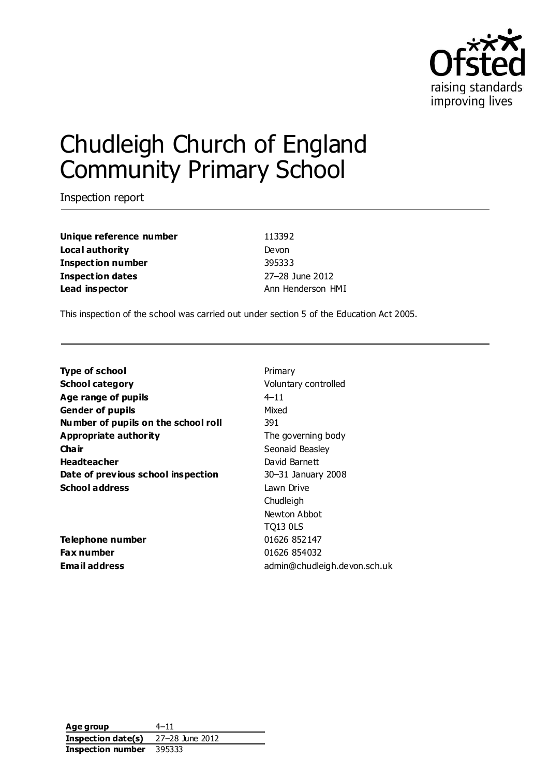

# Chudleigh Church of England Community Primary School

Inspection report

**Unique reference number** 113392 **Local authority** Devon **Inspection number** 395333 **Inspection dates** 27–28 June 2012 **Lead inspector Ann Henderson HMI** 

This inspection of the school was carried out under section 5 of the Education Act 2005.

**Type of school** Primary **School category Voluntary controlled Age range of pupils** 4–11 **Gender of pupils** Mixed **Number of pupils on the school roll** 391 **Appropriate authority** The governing body **Chair** Seonaid Beasley **Headteacher** David Barnett **Date of previous school inspection** 30-31 January 2008 **School address** Lawn Drive

**Telephone number** 01626 852147 **Fax number** 01626 854032

Chudleigh Newton Abbot TQ13 0LS **Email address** admin@chudleigh.devon.sch.uk

**Age group** 4–11 **Inspection date(s)** 27–28 June 2012 **Inspection number** 395333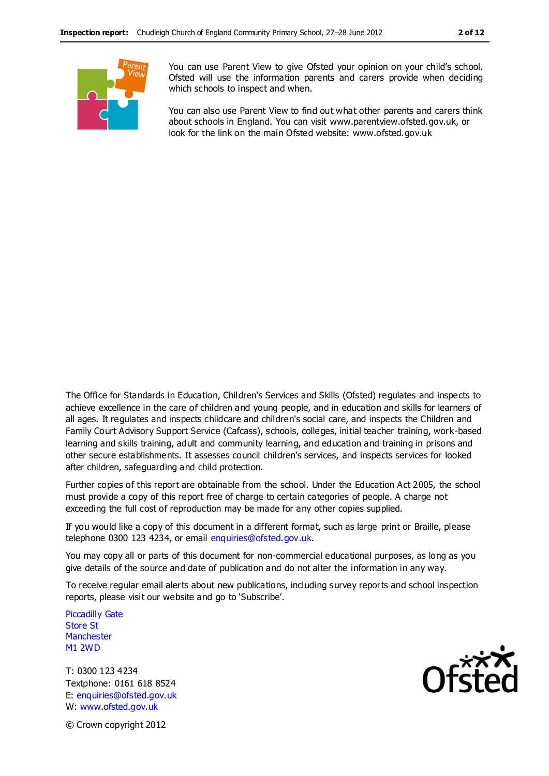

You can use Parent View to give Ofsted your opinion on your child's school. Ofsted will use the information parents and carers provide when deciding which schools to inspect and when.

You can also use Parent View to find out what other parents and carers think about schools in England. You can visit www.parentview.ofsted.gov.uk, or look for the link on the main Ofsted website: www.ofsted.gov.uk

The Office for Standards in Education, Children's Services and Skills (Ofsted) regulates and inspects to achieve excellence in the care of children and young people, and in education and skills for learners of all ages. It regulates and inspects childcare and children's social care, and inspects the Children and Family Court Advisory Support Service (Cafcass), schools, colleges, initial teacher training, work-based learning and skills training, adult and community learning, and education and training in prisons and other secure establishments. It assesses council children's services, and inspects services for looked after children, safeguarding and child protection.

Further copies of this report are obtainable from the school. Under the Education Act 2005, the school must provide a copy of this report free of charge to certain categories of people. A charge not exceeding the full cost of reproduction may be made for any other copies supplied.

If you would like a copy of this document in a different format, such as large print or Braille, please telephone 0300 123 4234, or email enquiries@ofsted.gov.uk.

You may copy all or parts of this document for non-commercial educational purposes, as long as you give details of the source and date of publication and do not alter the information in any way.

To receive regular email alerts about new publications, including survey reports and school inspection reports, please visit our website and go to 'Subscribe'.

Piccadilly Gate Store St **Manchester** M1 2WD

T: 0300 123 4234 Textphone: 0161 618 8524 E: enquiries@ofsted.gov.uk W: www.ofsted.gov.uk



© Crown copyright 2012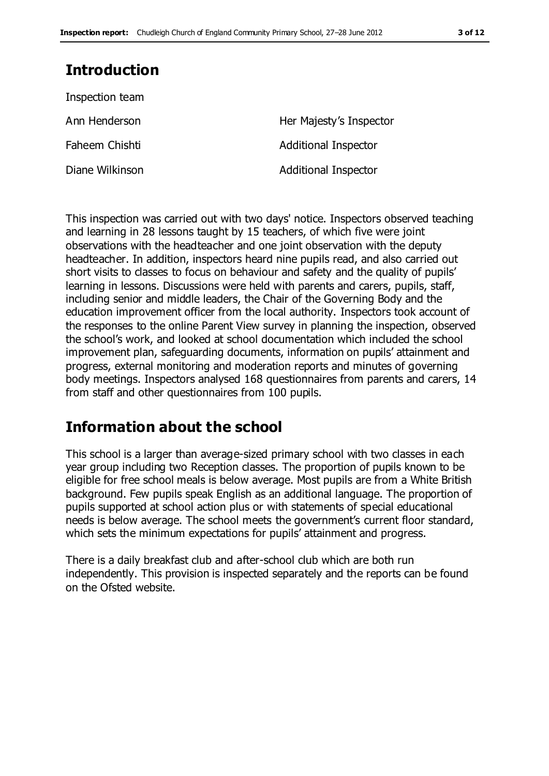## **Introduction**

| Her Majesty's Inspector     |
|-----------------------------|
| <b>Additional Inspector</b> |
| <b>Additional Inspector</b> |
|                             |

This inspection was carried out with two days' notice. Inspectors observed teaching and learning in 28 lessons taught by 15 teachers, of which five were joint observations with the headteacher and one joint observation with the deputy headteacher. In addition, inspectors heard nine pupils read, and also carried out short visits to classes to focus on behaviour and safety and the quality of pupils' learning in lessons. Discussions were held with parents and carers, pupils, staff, including senior and middle leaders, the Chair of the Governing Body and the education improvement officer from the local authority. Inspectors took account of the responses to the online Parent View survey in planning the inspection, observed the school's work, and looked at school documentation which included the school improvement plan, safeguarding documents, information on pupils' attainment and progress, external monitoring and moderation reports and minutes of governing body meetings. Inspectors analysed 168 questionnaires from parents and carers, 14 from staff and other questionnaires from 100 pupils.

## **Information about the school**

This school is a larger than average-sized primary school with two classes in each year group including two Reception classes. The proportion of pupils known to be eligible for free school meals is below average. Most pupils are from a White British background. Few pupils speak English as an additional language. The proportion of pupils supported at school action plus or with statements of special educational needs is below average. The school meets the government's current floor standard, which sets the minimum expectations for pupils' attainment and progress.

There is a daily breakfast club and after-school club which are both run independently. This provision is inspected separately and the reports can be found on the Ofsted website.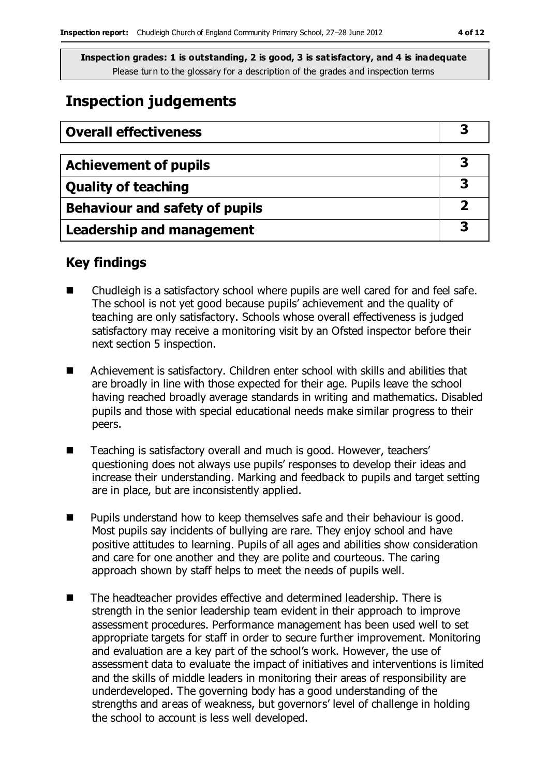## **Inspection judgements**

| <b>Overall effectiveness</b>     |    |
|----------------------------------|----|
|                                  |    |
| <b>Achievement of pupils</b>     | З  |
| <b>Quality of teaching</b>       | -3 |
| Behaviour and safety of pupils   |    |
| <b>Leadership and management</b> | 3  |

## **Key findings**

- Chudleigh is a satisfactory school where pupils are well cared for and feel safe. The school is not yet good because pupils' achievement and the quality of teaching are only satisfactory. Schools whose overall effectiveness is judged satisfactory may receive a monitoring visit by an Ofsted inspector before their next section 5 inspection.
- Achievement is satisfactory. Children enter school with skills and abilities that are broadly in line with those expected for their age. Pupils leave the school having reached broadly average standards in writing and mathematics. Disabled pupils and those with special educational needs make similar progress to their peers.
- Teaching is satisfactory overall and much is good. However, teachers' questioning does not always use pupils' responses to develop their ideas and increase their understanding. Marking and feedback to pupils and target setting are in place, but are inconsistently applied.
- **Pupils understand how to keep themselves safe and their behaviour is good.** Most pupils say incidents of bullying are rare. They enjoy school and have positive attitudes to learning. Pupils of all ages and abilities show consideration and care for one another and they are polite and courteous. The caring approach shown by staff helps to meet the needs of pupils well.
- The headteacher provides effective and determined leadership. There is strength in the senior leadership team evident in their approach to improve assessment procedures. Performance management has been used well to set appropriate targets for staff in order to secure further improvement. Monitoring and evaluation are a key part of the school's work. However, the use of assessment data to evaluate the impact of initiatives and interventions is limited and the skills of middle leaders in monitoring their areas of responsibility are underdeveloped. The governing body has a good understanding of the strengths and areas of weakness, but governors' level of challenge in holding the school to account is less well developed.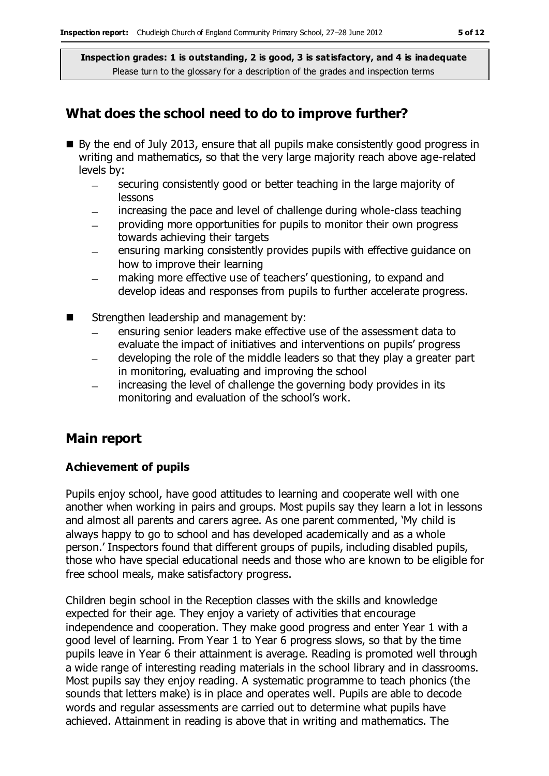## **What does the school need to do to improve further?**

- By the end of July 2013, ensure that all pupils make consistently good progress in writing and mathematics, so that the very large majority reach above age-related levels by:
	- securing consistently good or better teaching in the large majority of  $\equiv$ lessons
	- increasing the pace and level of challenge during whole-class teaching
	- providing more opportunities for pupils to monitor their own progress towards achieving their targets
	- ensuring marking consistently provides pupils with effective guidance on how to improve their learning
	- making more effective use of teachers' questioning, to expand and develop ideas and responses from pupils to further accelerate progress.
- Strengthen leadership and management by:
	- ensuring senior leaders make effective use of the assessment data to evaluate the impact of initiatives and interventions on pupils' progress
	- developing the role of the middle leaders so that they play a greater part in monitoring, evaluating and improving the school
	- increasing the level of challenge the governing body provides in its monitoring and evaluation of the school's work.

## **Main report**

### **Achievement of pupils**

Pupils enjoy school, have good attitudes to learning and cooperate well with one another when working in pairs and groups. Most pupils say they learn a lot in lessons and almost all parents and carers agree. As one parent commented, 'My child is always happy to go to school and has developed academically and as a whole person.' Inspectors found that different groups of pupils, including disabled pupils, those who have special educational needs and those who are known to be eligible for free school meals, make satisfactory progress.

Children begin school in the Reception classes with the skills and knowledge expected for their age. They enjoy a variety of activities that encourage independence and cooperation. They make good progress and enter Year 1 with a good level of learning. From Year 1 to Year 6 progress slows, so that by the time pupils leave in Year 6 their attainment is average. Reading is promoted well through a wide range of interesting reading materials in the school library and in classrooms. Most pupils say they enjoy reading. A systematic programme to teach phonics (the sounds that letters make) is in place and operates well. Pupils are able to decode words and regular assessments are carried out to determine what pupils have achieved. Attainment in reading is above that in writing and mathematics. The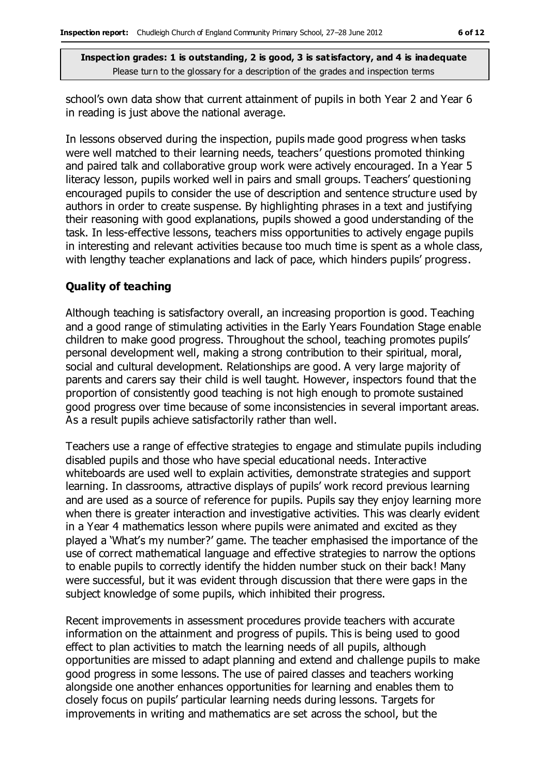school's own data show that current attainment of pupils in both Year 2 and Year 6 in reading is just above the national average.

In lessons observed during the inspection, pupils made good progress when tasks were well matched to their learning needs, teachers' questions promoted thinking and paired talk and collaborative group work were actively encouraged. In a Year 5 literacy lesson, pupils worked well in pairs and small groups. Teachers' questioning encouraged pupils to consider the use of description and sentence structure used by authors in order to create suspense. By highlighting phrases in a text and justifying their reasoning with good explanations, pupils showed a good understanding of the task. In less-effective lessons, teachers miss opportunities to actively engage pupils in interesting and relevant activities because too much time is spent as a whole class, with lengthy teacher explanations and lack of pace, which hinders pupils' progress.

#### **Quality of teaching**

Although teaching is satisfactory overall, an increasing proportion is good. Teaching and a good range of stimulating activities in the Early Years Foundation Stage enable children to make good progress. Throughout the school, teaching promotes pupils' personal development well, making a strong contribution to their spiritual, moral, social and cultural development. Relationships are good. A very large majority of parents and carers say their child is well taught. However, inspectors found that the proportion of consistently good teaching is not high enough to promote sustained good progress over time because of some inconsistencies in several important areas. As a result pupils achieve satisfactorily rather than well.

Teachers use a range of effective strategies to engage and stimulate pupils including disabled pupils and those who have special educational needs. Interactive whiteboards are used well to explain activities, demonstrate strategies and support learning. In classrooms, attractive displays of pupils' work record previous learning and are used as a source of reference for pupils. Pupils say they enjoy learning more when there is greater interaction and investigative activities. This was clearly evident in a Year 4 mathematics lesson where pupils were animated and excited as they played a 'What's my number?' game. The teacher emphasised the importance of the use of correct mathematical language and effective strategies to narrow the options to enable pupils to correctly identify the hidden number stuck on their back! Many were successful, but it was evident through discussion that there were gaps in the subject knowledge of some pupils, which inhibited their progress.

Recent improvements in assessment procedures provide teachers with accurate information on the attainment and progress of pupils. This is being used to good effect to plan activities to match the learning needs of all pupils, although opportunities are missed to adapt planning and extend and challenge pupils to make good progress in some lessons. The use of paired classes and teachers working alongside one another enhances opportunities for learning and enables them to closely focus on pupils' particular learning needs during lessons. Targets for improvements in writing and mathematics are set across the school, but the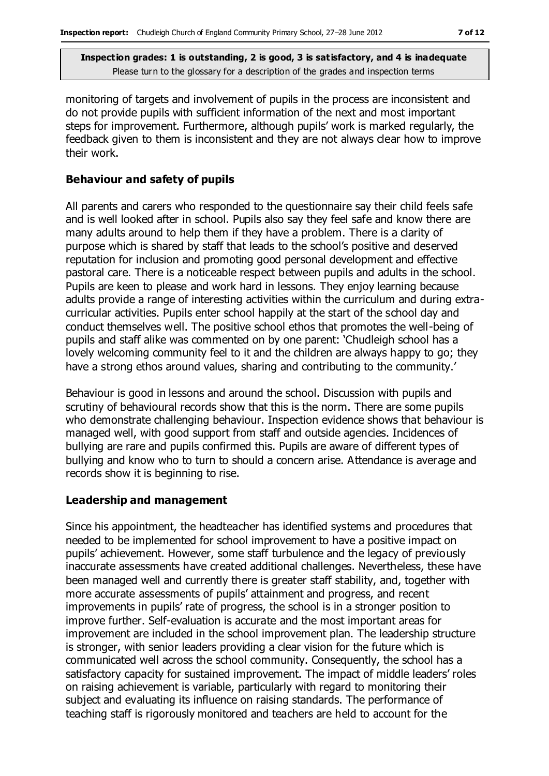monitoring of targets and involvement of pupils in the process are inconsistent and do not provide pupils with sufficient information of the next and most important steps for improvement. Furthermore, although pupils' work is marked regularly, the feedback given to them is inconsistent and they are not always clear how to improve their work.

#### **Behaviour and safety of pupils**

All parents and carers who responded to the questionnaire say their child feels safe and is well looked after in school. Pupils also say they feel safe and know there are many adults around to help them if they have a problem. There is a clarity of purpose which is shared by staff that leads to the school's positive and deserved reputation for inclusion and promoting good personal development and effective pastoral care. There is a noticeable respect between pupils and adults in the school. Pupils are keen to please and work hard in lessons. They enjoy learning because adults provide a range of interesting activities within the curriculum and during extracurricular activities. Pupils enter school happily at the start of the school day and conduct themselves well. The positive school ethos that promotes the well-being of pupils and staff alike was commented on by one parent: 'Chudleigh school has a lovely welcoming community feel to it and the children are always happy to go; they have a strong ethos around values, sharing and contributing to the community.'

Behaviour is good in lessons and around the school. Discussion with pupils and scrutiny of behavioural records show that this is the norm. There are some pupils who demonstrate challenging behaviour. Inspection evidence shows that behaviour is managed well, with good support from staff and outside agencies. Incidences of bullying are rare and pupils confirmed this. Pupils are aware of different types of bullying and know who to turn to should a concern arise. Attendance is average and records show it is beginning to rise.

#### **Leadership and management**

Since his appointment, the headteacher has identified systems and procedures that needed to be implemented for school improvement to have a positive impact on pupils' achievement. However, some staff turbulence and the legacy of previously inaccurate assessments have created additional challenges. Nevertheless, these have been managed well and currently there is greater staff stability, and, together with more accurate assessments of pupils' attainment and progress, and recent improvements in pupils' rate of progress, the school is in a stronger position to improve further. Self-evaluation is accurate and the most important areas for improvement are included in the school improvement plan. The leadership structure is stronger, with senior leaders providing a clear vision for the future which is communicated well across the school community. Consequently, the school has a satisfactory capacity for sustained improvement. The impact of middle leaders' roles on raising achievement is variable, particularly with regard to monitoring their subject and evaluating its influence on raising standards. The performance of teaching staff is rigorously monitored and teachers are held to account for the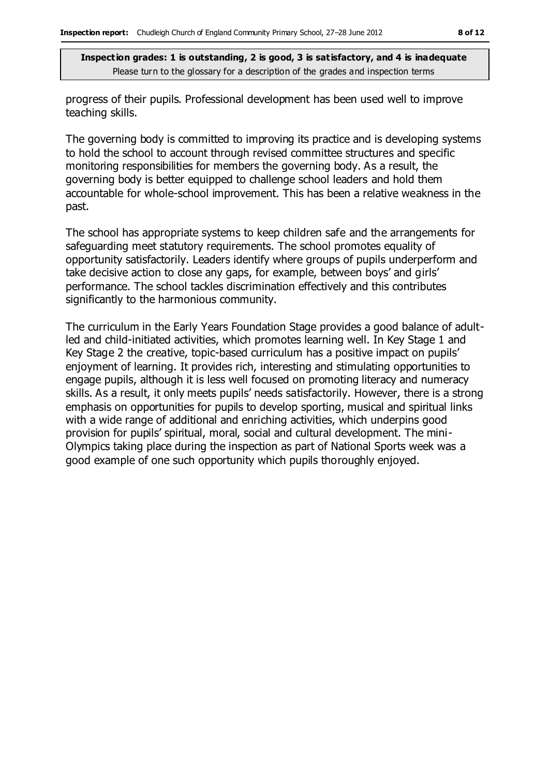progress of their pupils. Professional development has been used well to improve teaching skills.

The governing body is committed to improving its practice and is developing systems to hold the school to account through revised committee structures and specific monitoring responsibilities for members the governing body. As a result, the governing body is better equipped to challenge school leaders and hold them accountable for whole-school improvement. This has been a relative weakness in the past.

The school has appropriate systems to keep children safe and the arrangements for safeguarding meet statutory requirements. The school promotes equality of opportunity satisfactorily. Leaders identify where groups of pupils underperform and take decisive action to close any gaps, for example, between boys' and girls' performance. The school tackles discrimination effectively and this contributes significantly to the harmonious community.

The curriculum in the Early Years Foundation Stage provides a good balance of adultled and child-initiated activities, which promotes learning well. In Key Stage 1 and Key Stage 2 the creative, topic-based curriculum has a positive impact on pupils' enjoyment of learning. It provides rich, interesting and stimulating opportunities to engage pupils, although it is less well focused on promoting literacy and numeracy skills. As a result, it only meets pupils' needs satisfactorily. However, there is a strong emphasis on opportunities for pupils to develop sporting, musical and spiritual links with a wide range of additional and enriching activities, which underpins good provision for pupils' spiritual, moral, social and cultural development. The mini-Olympics taking place during the inspection as part of National Sports week was a good example of one such opportunity which pupils thoroughly enjoyed.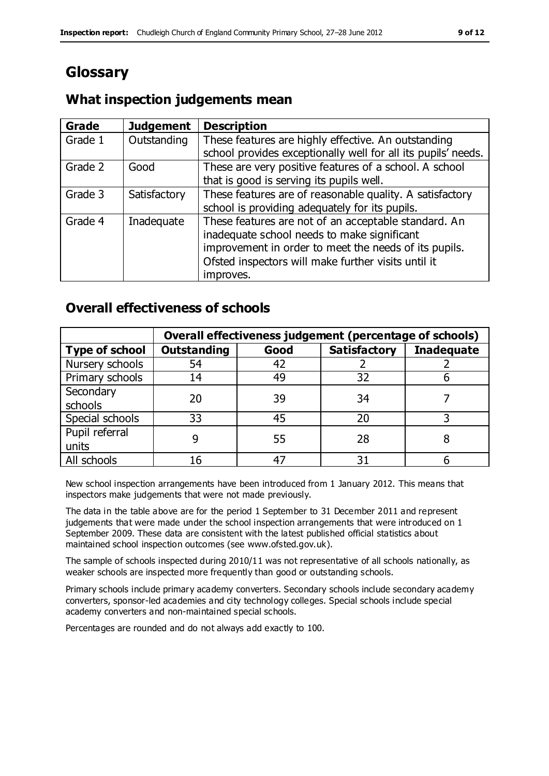## **Glossary**

## **What inspection judgements mean**

| Grade   | <b>Judgement</b> | <b>Description</b>                                            |
|---------|------------------|---------------------------------------------------------------|
| Grade 1 | Outstanding      | These features are highly effective. An outstanding           |
|         |                  | school provides exceptionally well for all its pupils' needs. |
| Grade 2 | Good             | These are very positive features of a school. A school        |
|         |                  | that is good is serving its pupils well.                      |
| Grade 3 | Satisfactory     | These features are of reasonable quality. A satisfactory      |
|         |                  | school is providing adequately for its pupils.                |
| Grade 4 | Inadequate       | These features are not of an acceptable standard. An          |
|         |                  | inadequate school needs to make significant                   |
|         |                  | improvement in order to meet the needs of its pupils.         |
|         |                  | Ofsted inspectors will make further visits until it           |
|         |                  | improves.                                                     |

## **Overall effectiveness of schools**

|                       | Overall effectiveness judgement (percentage of schools) |      |                     |                   |
|-----------------------|---------------------------------------------------------|------|---------------------|-------------------|
| <b>Type of school</b> | <b>Outstanding</b>                                      | Good | <b>Satisfactory</b> | <b>Inadequate</b> |
| Nursery schools       | 54                                                      | 42   |                     |                   |
| Primary schools       | 14                                                      | 49   | 32                  |                   |
| Secondary             | 20                                                      | 39   | 34                  |                   |
| schools               |                                                         |      |                     |                   |
| Special schools       | 33                                                      | 45   | 20                  |                   |
| Pupil referral        |                                                         | 55   | 28                  |                   |
| units                 |                                                         |      |                     |                   |
| All schools           | 16                                                      | 47   | 31                  |                   |

New school inspection arrangements have been introduced from 1 January 2012. This means that inspectors make judgements that were not made previously.

The data in the table above are for the period 1 September to 31 December 2011 and represent judgements that were made under the school inspection arrangements that were introduced on 1 September 2009. These data are consistent with the latest published official statistics about maintained school inspection outcomes (see www.ofsted.gov.uk).

The sample of schools inspected during 2010/11 was not representative of all schools nationally, as weaker schools are inspected more frequently than good or outstanding schools.

Primary schools include primary academy converters. Secondary schools include secondary academy converters, sponsor-led academies and city technology colleges. Special schools include special academy converters and non-maintained special schools.

Percentages are rounded and do not always add exactly to 100.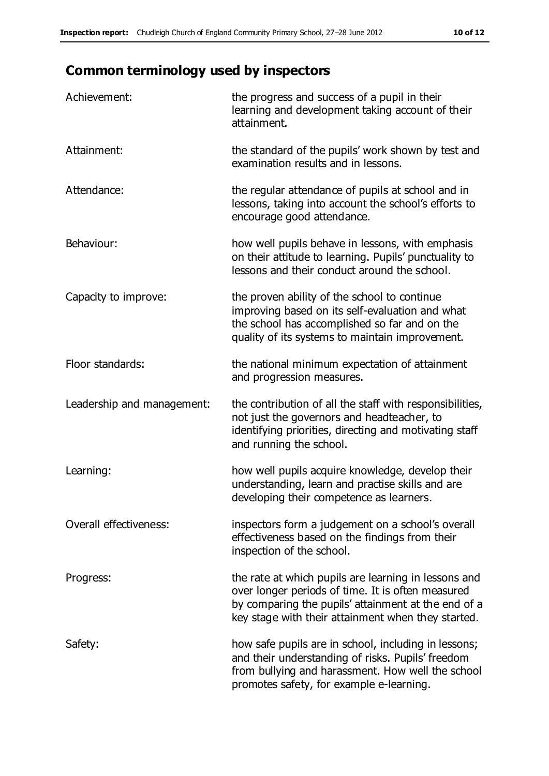## **Common terminology used by inspectors**

| Achievement:               | the progress and success of a pupil in their<br>learning and development taking account of their<br>attainment.                                                                                                        |
|----------------------------|------------------------------------------------------------------------------------------------------------------------------------------------------------------------------------------------------------------------|
| Attainment:                | the standard of the pupils' work shown by test and<br>examination results and in lessons.                                                                                                                              |
| Attendance:                | the regular attendance of pupils at school and in<br>lessons, taking into account the school's efforts to<br>encourage good attendance.                                                                                |
| Behaviour:                 | how well pupils behave in lessons, with emphasis<br>on their attitude to learning. Pupils' punctuality to<br>lessons and their conduct around the school.                                                              |
| Capacity to improve:       | the proven ability of the school to continue<br>improving based on its self-evaluation and what<br>the school has accomplished so far and on the<br>quality of its systems to maintain improvement.                    |
| Floor standards:           | the national minimum expectation of attainment<br>and progression measures.                                                                                                                                            |
| Leadership and management: | the contribution of all the staff with responsibilities,<br>not just the governors and headteacher, to<br>identifying priorities, directing and motivating staff<br>and running the school.                            |
| Learning:                  | how well pupils acquire knowledge, develop their<br>understanding, learn and practise skills and are<br>developing their competence as learners.                                                                       |
| Overall effectiveness:     | inspectors form a judgement on a school's overall<br>effectiveness based on the findings from their<br>inspection of the school.                                                                                       |
| Progress:                  | the rate at which pupils are learning in lessons and<br>over longer periods of time. It is often measured<br>by comparing the pupils' attainment at the end of a<br>key stage with their attainment when they started. |
| Safety:                    | how safe pupils are in school, including in lessons;<br>and their understanding of risks. Pupils' freedom<br>from bullying and harassment. How well the school<br>promotes safety, for example e-learning.             |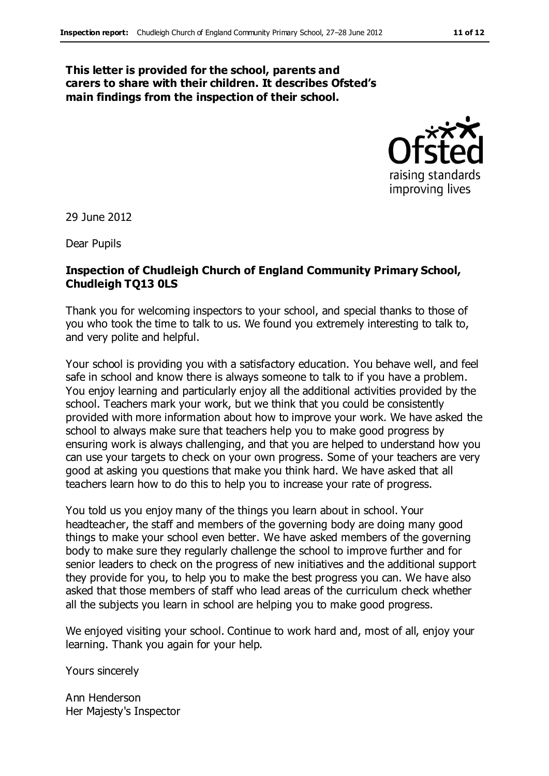#### **This letter is provided for the school, parents and carers to share with their children. It describes Ofsted's main findings from the inspection of their school.**



29 June 2012

Dear Pupils

### **Inspection of Chudleigh Church of England Community Primary School, Chudleigh TQ13 0LS**

Thank you for welcoming inspectors to your school, and special thanks to those of you who took the time to talk to us. We found you extremely interesting to talk to, and very polite and helpful.

Your school is providing you with a satisfactory education. You behave well, and feel safe in school and know there is always someone to talk to if you have a problem. You enjoy learning and particularly enjoy all the additional activities provided by the school. Teachers mark your work, but we think that you could be consistently provided with more information about how to improve your work. We have asked the school to always make sure that teachers help you to make good progress by ensuring work is always challenging, and that you are helped to understand how you can use your targets to check on your own progress. Some of your teachers are very good at asking you questions that make you think hard. We have asked that all teachers learn how to do this to help you to increase your rate of progress.

You told us you enjoy many of the things you learn about in school. Your headteacher, the staff and members of the governing body are doing many good things to make your school even better. We have asked members of the governing body to make sure they regularly challenge the school to improve further and for senior leaders to check on the progress of new initiatives and the additional support they provide for you, to help you to make the best progress you can. We have also asked that those members of staff who lead areas of the curriculum check whether all the subjects you learn in school are helping you to make good progress.

We enjoyed visiting your school. Continue to work hard and, most of all, enjoy your learning. Thank you again for your help.

Yours sincerely

Ann Henderson Her Majesty's Inspector